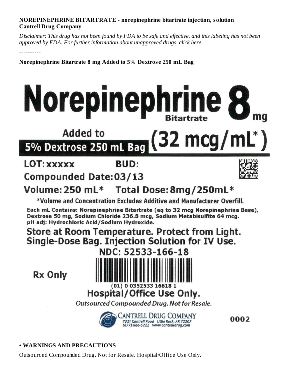#### **NOREPINEPHRINE BITARTRATE - norepinephrine bitartrate injection, solution Cantrell Drug Company**

Disclaimer: This drug has not been found by FDA to be safe and effective, and this labeling has not been *approved by FDA. For further information about unapproved drugs, click here.*

----------

**Norepinephrine Bitartrate 8 mg Added to 5% Dextros e 250 mL Bag**

# Norepinephrine 8

## **Added to** 2 mcg $/$ 5% Dextrose 250 mL Bag

#### LOT: XXXXX **BUD:**

## **Compounded Date:03/13**



#### Volume: 250 mL\* Total Dose: 8mg/250mL\*

\*Volume and Concentration Excludes Additive and Manufacturer Overfill.

Each mL Contains: Norepinephrine Bitartrate (eq to 32 mcg Norepinephrine Base), Dextrose 50 mg, Sodium Chloride 236.8 mcg, Sodium Metabisulfite 64 mcg. pH adj: Hydrochloric Acid/Sodium Hydroxide.

## Store at Room Temperature. Protect from Light. Single-Dose Bag. Injection Solution for IV Use.

**Rx Only** 



# **Hospital/Office Use Only.**

Outsourced Compounded Drug. Not for Resale.



0002

### **• WARNINGS AND PRECAUTIONS**

Outsourced Compounded Drug. Not for Resale. Hospital/Office Use Only.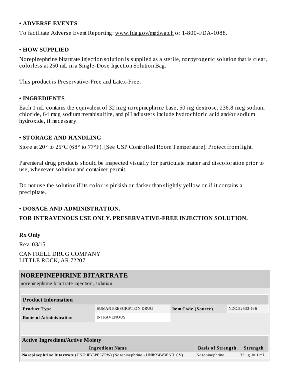#### **• ADVERSE EVENTS**

To facilitate Adverse Event Reporting: www.fda.gov/medwatch or 1-800-FDA-1088.

#### **• HOW SUPPLIED**

Norepinephrine bitartrate injection solution is supplied as a sterile, nonpyrogenic solution that is clear, colorless at 250 mL in a Single-Dose Injection Solution Bag.

This product is Preservative-Free and Latex-Free.

#### **• INGREDIENTS**

Each 1 mL contains the equivalent of 32 mcg norepinephrine base, 50 mg dextrose, 236.8 mcg sodium chloride, 64 mcg sodium metabisulfite, and pH adjusters include hydrochloric acid and/or sodium hydroxide, if necessary.

#### **• STORAGE AND HANDLING**

Store at 20° to 25°C (68° to 77°F). [See USP Controlled Room Temperature]. Protect from light.

Parenteral drug products should be inspected visually for particulate matter and discoloration prior to use, whenever solution and container permit.

Do not use the solution if its color is pinkish or darker than slightly yellow or if it contains a precipitate.

#### **• DOSAGE AND ADMINISTRATION.**

#### **FOR INTRAVENOUS USE ONLY. PRESERVATIVE-FREE INJECTION SOLUTION.**

#### **Rx Only**

Rev. 03/15 CANTRELL DRUG COMPANY LITTLE ROCK, AR 72207

#### **NOREPINEPHRINE BITARTRATE**

norepinephrine bitartrate injection, solution

| <b>Product Information</b>                                                        |                         |                    |                          |  |                   |  |  |  |  |  |
|-----------------------------------------------------------------------------------|-------------------------|--------------------|--------------------------|--|-------------------|--|--|--|--|--|
| <b>Product Type</b>                                                               | HUMAN PRESCRIPTION DRUG | Item Code (Source) |                          |  | NDC:52533-166     |  |  |  |  |  |
| <b>Route of Administration</b>                                                    | <b>INTRAVENOUS</b>      |                    |                          |  |                   |  |  |  |  |  |
|                                                                                   |                         |                    |                          |  |                   |  |  |  |  |  |
|                                                                                   |                         |                    |                          |  |                   |  |  |  |  |  |
| <b>Active Ingredient/Active Moiety</b>                                            |                         |                    |                          |  |                   |  |  |  |  |  |
| <b>Ingredient Name</b>                                                            |                         |                    | <b>Basis of Strength</b> |  | Strength          |  |  |  |  |  |
| No repinephrine Bitartrate (UNII: IFY5PE3ZRW) (No repinephrine - UNII:X4W3ENH1CV) |                         |                    | No repinephrine          |  | $32$ ug in $1$ mL |  |  |  |  |  |